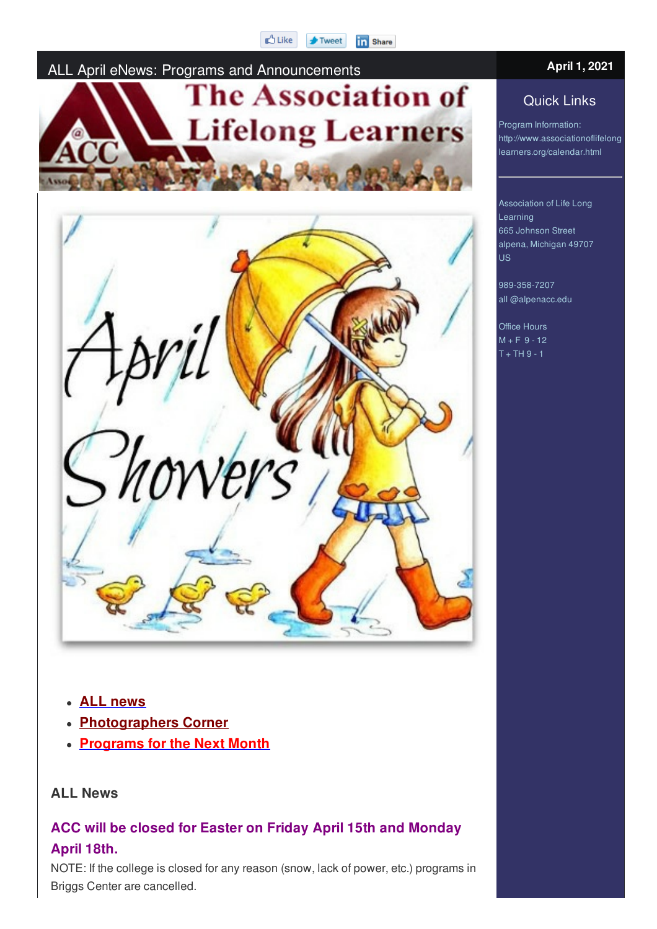#### **D** Like in Share **F** Tweet

### ALL April eNews: Programs and Announcements **April 1, <sup>2021</sup>**



#### **ALL news**

- **Photographers Corner**
- **Programs for the Next Month**

#### **ALL News**

#### **ACC will be closed for Easter on Friday April 15th and Monday April 18th.**

NOTE: If the college is closed for any reason (snow, lack of power, etc.) programs in Briggs Center are cancelled.

#### Quick Links

Program Information: http://www.associationoflifelong learners.org/calendar.html

Association of Life Long Learning 665 Johnson Street alpena, Michigan 49707 US

989-358-7207 all @alpenacc.edu

Office Hours  $M + F = 9 - 12$  $T + TH$  9 - 1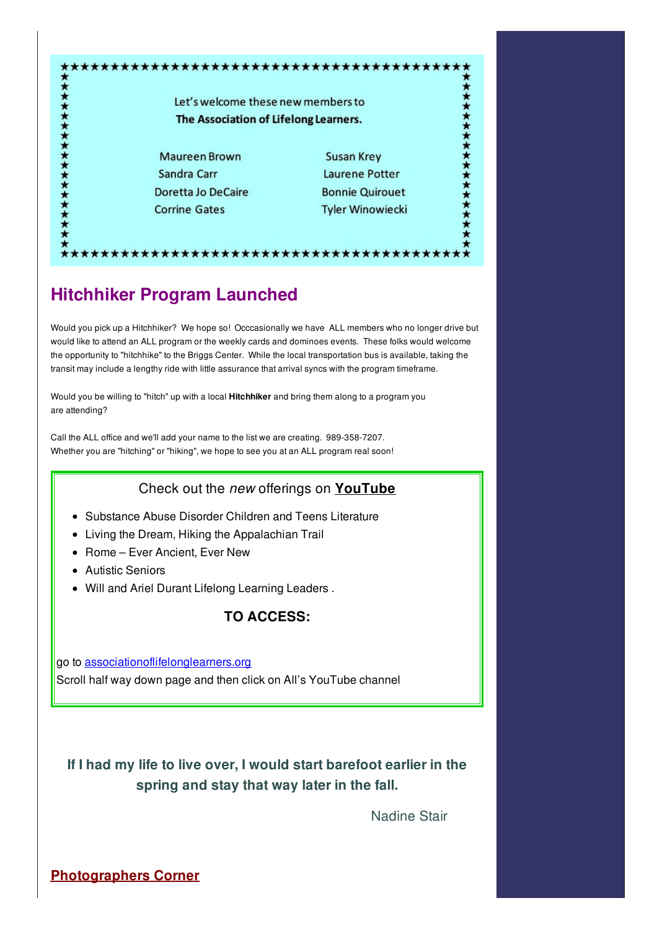| Let's welcome these new members to<br>The Association of Lifelong Learners. |                         |
|-----------------------------------------------------------------------------|-------------------------|
|                                                                             |                         |
| Sandra Carr                                                                 | Laurene Potter          |
| <b>Doretta Jo DeCaire</b>                                                   | <b>Bonnie Quirouet</b>  |
| <b>Corrine Gates</b>                                                        | <b>Tyler Winowiecki</b> |

## **Hitchhiker Program Launched**

Would you pick up a Hitchhiker? We hope so! Occcasionally we have ALL members who no longer drive but would like to attend an ALL program or the weekly cards and dominoes events. These folks would welcome the opportunity to "hitchhike" to the Briggs Center. While the local transportation bus is available, taking the transit may include a lengthy ride with little assurance that arrival syncs with the program timeframe.

Would you be willing to "hitch" up with a local **Hitchhiker** and bring them along to a program you are attending?

Call the ALL office and we'll add your name to the list we are creating. 989-358-7207. Whether you are "hitching" or "hiking", we hope to see you at an ALL program real soon!

#### Check out the *new* offerings on **YouTube**

- Substance Abuse Disorder Children and Teens Literature
- Living the Dream, Hiking the Appalachian Trail
- Rome Ever Ancient, Ever New
- Autistic Seniors
- Will and Ariel Durant Lifelong Learning Leaders .

#### **TO ACCESS:**

go to associationoflifelonglearners.org Scroll half way down page and then click on All's YouTube channel

**If I had my life to live over, I would start barefoot earlier in the spring and stay that way later in the fall.**

Nadine Stair

**Photographers Corner**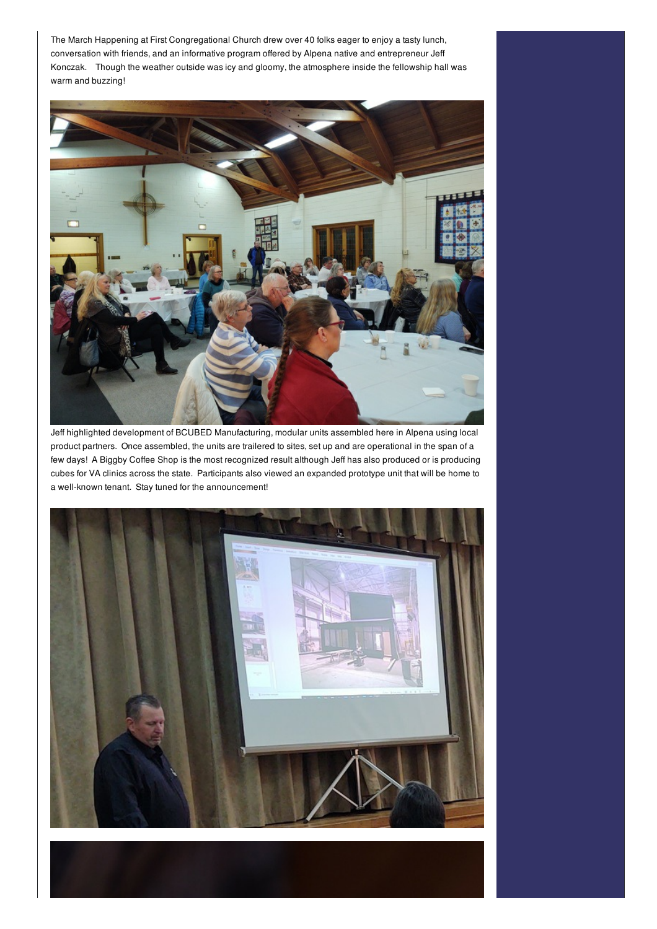The March Happening at First Congregational Church drew over 40 folks eager to enjoy a tasty lunch, conversation with friends, and an informative program offered by Alpena native and entrepreneur Jeff Konczak. Though the weather outside was icy and gloomy, the atmosphere inside the fellowship hall was warm and buzzing!



Jeff highlighted development of BCUBED Manufacturing, modular units assembled here in Alpena using local product partners. Once assembled, the units are trailered to sites, set up and are operational in the span of a few days! A Biggby Coffee Shop is the most recognized result although Jeff has also produced or is producing cubes for VA clinics across the state. Participants also viewed an expanded prototype unit that will be home to a well-known tenant. Stay tuned for the announcement!

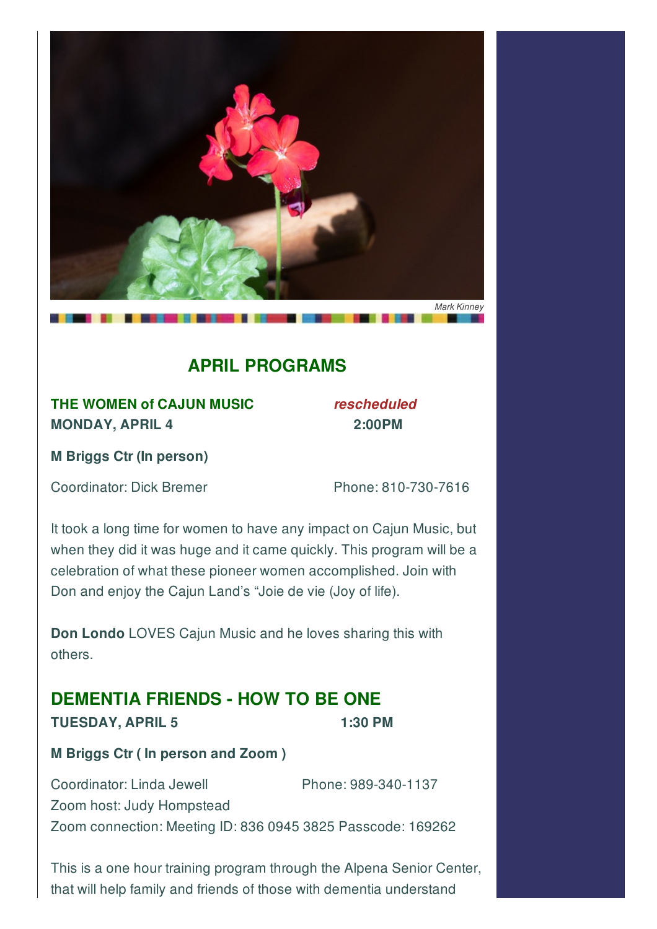

## **APRIL PROGRAMS**

**THE WOMEN of CAJUN MUSIC** *rescheduled* **MONDAY, APRIL 4 2:00PM**

**M Briggs Ctr (In person)**

Coordinator: Dick Bremer Phone: 810-730-7616

It took a long time for women to have any impact on Cajun Music, but when they did it was huge and it came quickly. This program will be a celebration of what these pioneer women accomplished. Join with Don and enjoy the Cajun Land's "Joie de vie (Joy of life).

**Don Londo** LOVES Cajun Music and he loves sharing this with others.

## **DEMENTIA FRIENDS - HOW TO BE ONE**

#### **TUESDAY, APRIL 5 1:30 PM**

**M Briggs Ctr ( In person and Zoom )**

Coordinator: Linda Jewell Phone: 989-340-1137 Zoom host: Judy Hompstead Zoom connection: Meeting ID: 836 0945 3825 Passcode: 169262

This is a one hour training program through the Alpena Senior Center, that will help family and friends of those with dementia understand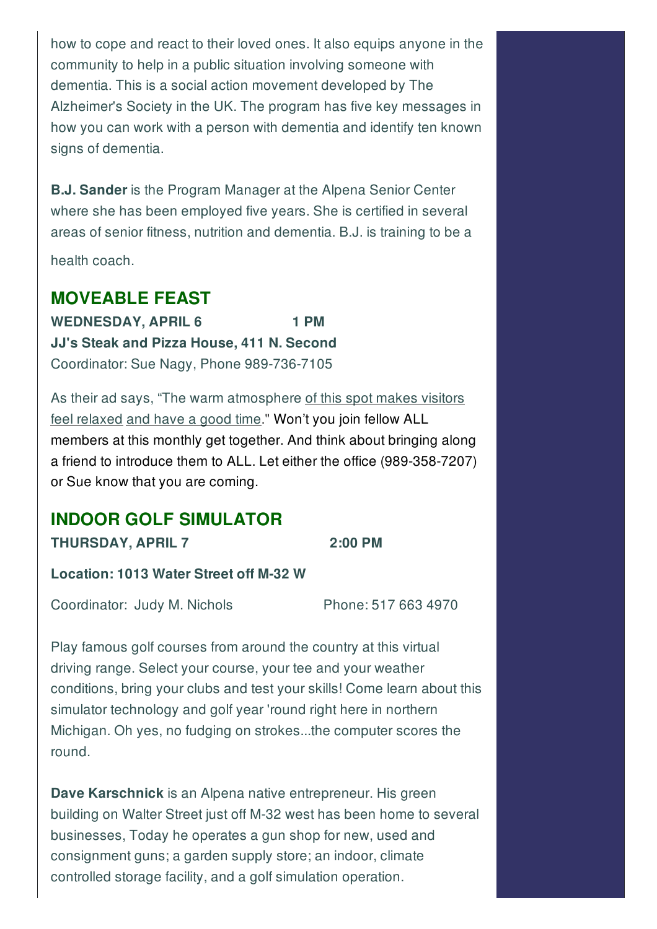how to cope and react to their loved ones. It also equips anyone in the community to help in a public situation involving someone with dementia. This is a social action movement developed by The Alzheimer's Society in the UK. The program has five key messages in how you can work with a person with dementia and identify ten known signs of dementia.

**B.J. Sander** is the Program Manager at the Alpena Senior Center where she has been employed five years. She is certified in several areas of senior fitness, nutrition and dementia. B.J. is training to be a

health coach.

#### **MOVEABLE FEAST**

**WEDNESDAY, APRIL 6 1 PM JJ's Steak and Pizza House, 411 N. Second** Coordinator: Sue Nagy, Phone 989-736-7105

As their ad says, "The warm atmosphere of this spot makes visitors feel relaxed and have a good time." Won't you join fellow ALL members at this monthly get together. And think about bringing along a friend to introduce them to ALL. Let either the office (989-358-7207) or Sue know that you are coming.

#### **INDOOR GOLF SIMULATOR THURSDAY, APRIL 7 2:00 PM**

**Location: 1013 Water Street off M-32 W**

Coordinator: Judy M. Nichols Phone: 517 663 4970

Play famous golf courses from around the country at this virtual driving range. Select your course, your tee and your weather conditions, bring your clubs and test your skills! Come learn about this simulator technology and golf year 'round right here in northern Michigan. Oh yes, no fudging on strokes...the computer scores the round.

**Dave Karschnick** is an Alpena native entrepreneur. His green building on Walter Street just off M-32 west has been home to several businesses, Today he operates a gun shop for new, used and consignment guns; a garden supply store; an indoor, climate controlled storage facility, and a golf simulation operation.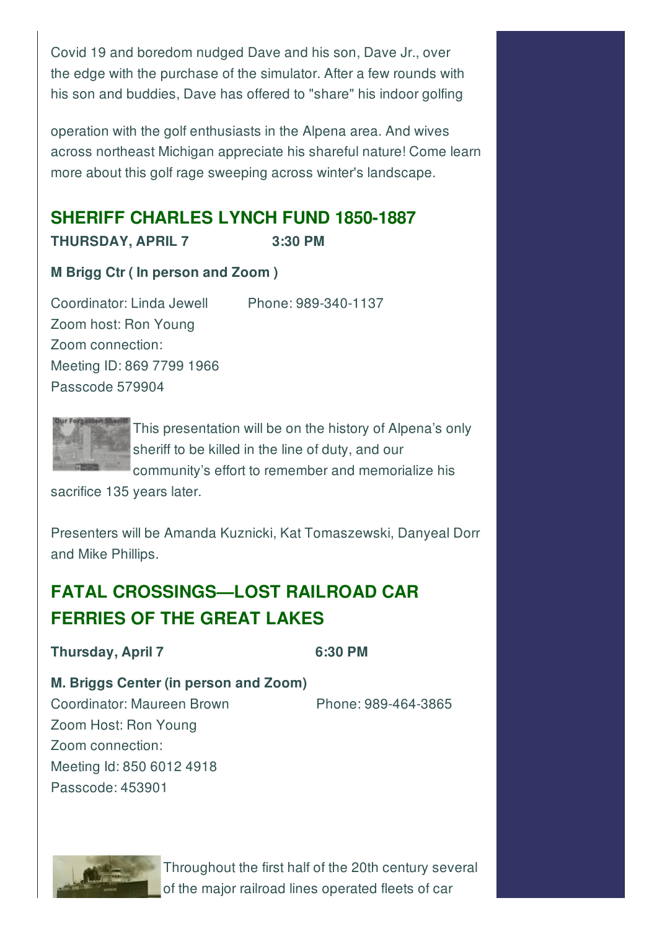Covid 19 and boredom nudged Dave and his son, Dave Jr., over the edge with the purchase of the simulator. After a few rounds with his son and buddies, Dave has offered to "share" his indoor golfing

operation with the golf enthusiasts in the Alpena area. And wives across northeast Michigan appreciate his shareful nature! Come learn more about this golf rage sweeping across winter's landscape.

## **SHERIFF CHARLES LYNCH FUND 1850-1887**

**THURSDAY, APRIL 7 3:30 PM**

#### **M Brigg Ctr ( In person and Zoom )**

Coordinator: Linda Jewell Phone: 989-340-1137 Zoom host: Ron Young Zoom connection: Meeting ID: 869 7799 1966

Passcode 579904



This presentation will be on the history of Alpena's only sheriff to be killed in the line of duty, and our community's effort to remember and memorialize his

sacrifice 135 years later.

Presenters will be Amanda Kuznicki, Kat Tomaszewski, Danyeal Dorr and Mike Phillips.

## **FATAL CROSSINGS—LOST RAILROAD CAR FERRIES OF THE GREAT LAKES**

**Thursday, April 7 6:30 PM**

#### **M. Briggs Center (in person and Zoom)**

Coordinator: Maureen Brown Phone: 989-464-3865 Zoom Host: Ron Young Zoom connection: Meeting Id: 850 6012 4918 Passcode: 453901



Throughout the first half of the 20th century several of the major railroad lines operated fleets of car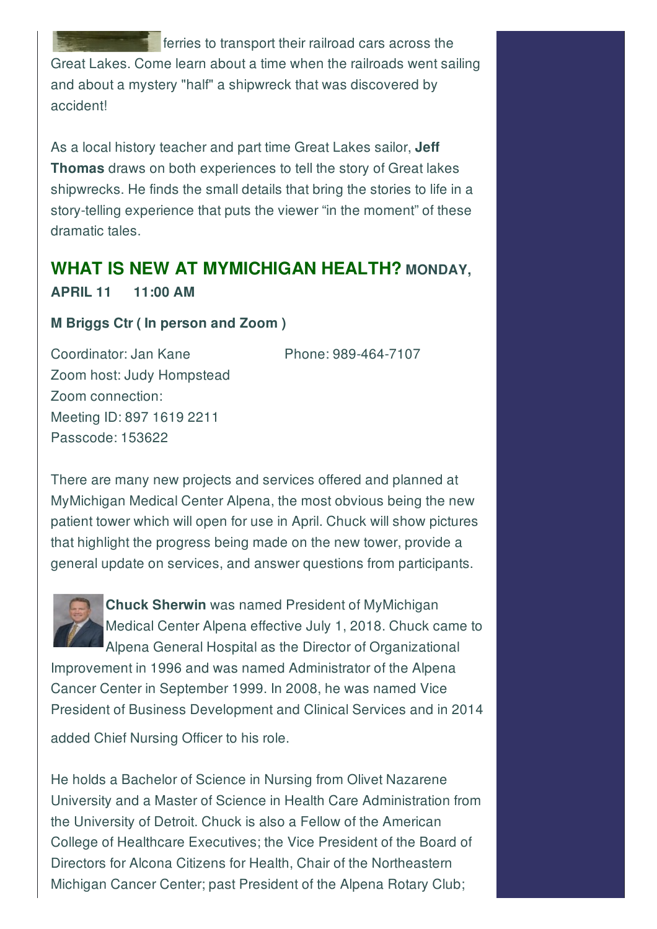ferries to transport their railroad cars across the Great Lakes. Come learn about a time when the railroads went sailing and about a mystery "half" a shipwreck that was discovered by accident!

As a local history teacher and part time Great Lakes sailor, **Jeff Thomas** draws on both experiences to tell the story of Great lakes shipwrecks. He finds the small details that bring the stories to life in a story-telling experience that puts the viewer "in the moment" of these dramatic tales.

#### **WHAT IS NEW AT MYMICHIGAN HEALTH? MONDAY,**

**APRIL 11 11:00 AM**

#### **M Briggs Ctr ( In person and Zoom )**

Coordinator: Jan Kane Phone: 989-464-7107

Zoom host: Judy Hompstead Zoom connection: Meeting ID: 897 1619 2211 Passcode: 153622

There are many new projects and services offered and planned at MyMichigan Medical Center Alpena, the most obvious being the new patient tower which will open for use in April. Chuck will show pictures that highlight the progress being made on the new tower, provide a general update on services, and answer questions from participants.



**Chuck Sherwin** was named President of MyMichigan Medical Center Alpena effective July 1, 2018. Chuck came to Alpena General Hospital as the Director of Organizational

Improvement in 1996 and was named Administrator of the Alpena Cancer Center in September 1999. In 2008, he was named Vice President of Business Development and Clinical Services and in 2014

added Chief Nursing Officer to his role.

He holds a Bachelor of Science in Nursing from Olivet Nazarene University and a Master of Science in Health Care Administration from the University of Detroit. Chuck is also a Fellow of the American College of Healthcare Executives; the Vice President of the Board of Directors for Alcona Citizens for Health, Chair of the Northeastern Michigan Cancer Center; past President of the Alpena Rotary Club;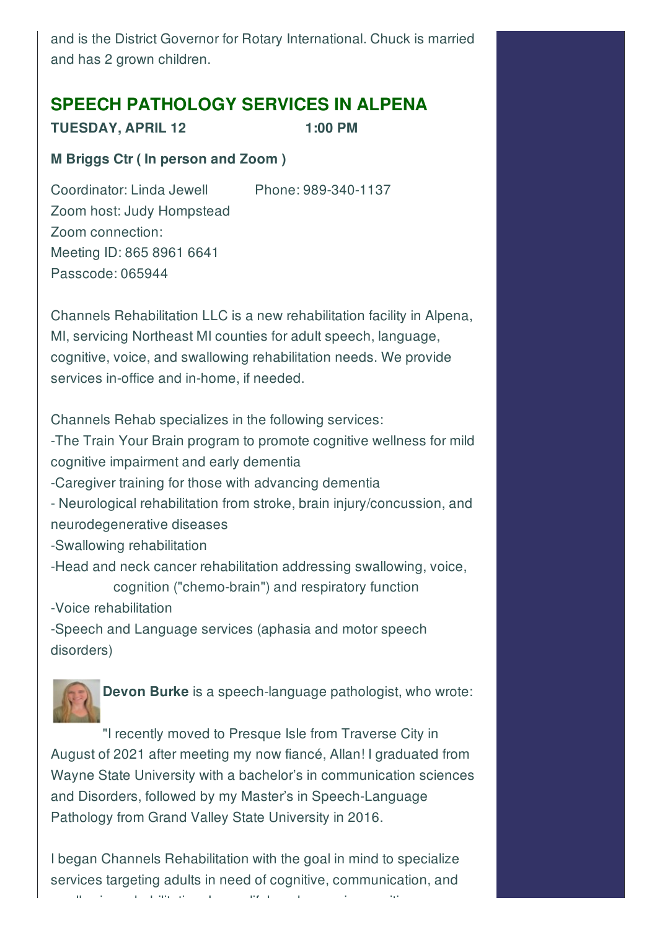and is the District Governor for Rotary International. Chuck is married and has 2 grown children.

### **SPEECH PATHOLOGY SERVICES IN ALPENA**

**TUESDAY, APRIL 12 1:00 PM**

#### **M Briggs Ctr ( In person and Zoom )**

Coordinator: Linda Jewell Phone: 989-340-1137

Zoom host: Judy Hompstead Zoom connection: Meeting ID: 865 8961 6641 Passcode: 065944

Channels Rehabilitation LLC is a new rehabilitation facility in Alpena, MI, servicing Northeast MI counties for adult speech, language, cognitive, voice, and swallowing rehabilitation needs. We provide services in-office and in-home, if needed.

Channels Rehab specializes in the following services: -The Train Your Brain program to promote cognitive wellness for mild cognitive impairment and early dementia -Caregiver training for those with advancing dementia - Neurological rehabilitation from stroke, brain injury/concussion, and neurodegenerative diseases -Swallowing rehabilitation -Head and neck cancer rehabilitation addressing swallowing, voice, cognition ("chemo-brain") and respiratory function -Voice rehabilitation -Speech and Language services (aphasia and motor speech disorders)



**Devon Burke** is a speech-language pathologist, who wrote:

"I recently moved to Presque Isle from Traverse City in August of 2021 after meeting my now fiancé, Allan! I graduated from Wayne State University with a bachelor's in communication sciences and Disorders, followed by my Master's in Speech-Language Pathology from Grand Valley State University in 2016.

I began Channels Rehabilitation with the goal in mind to specialize services targeting adults in need of cognitive, communication, and swallowing rehabilitation. I am a lifelong learner in cognitive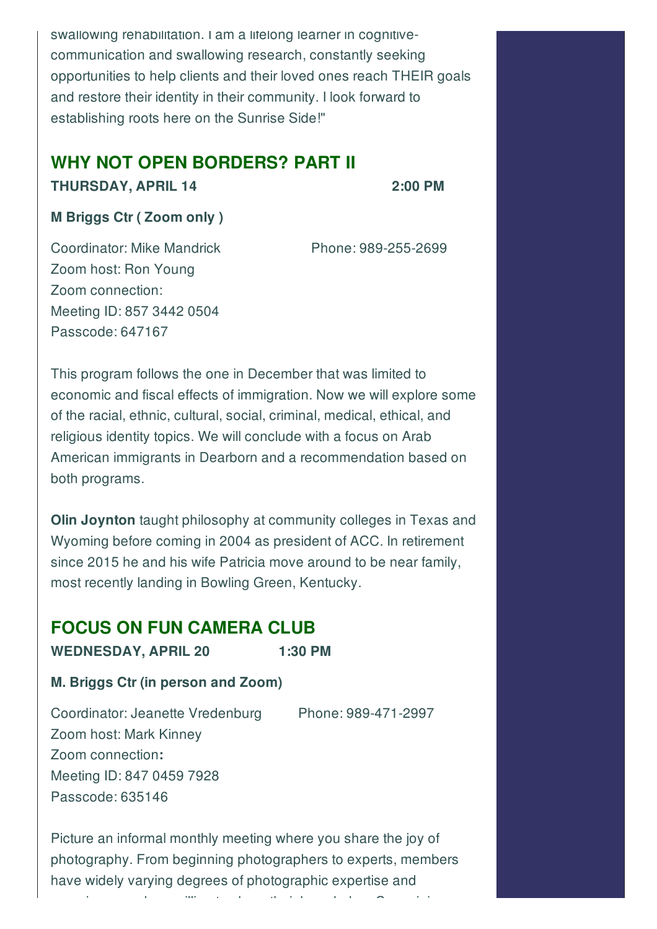swallowing rehabilitation. I am a lifelong learner in cognitivecommunication and swallowing research, constantly seeking opportunities to help clients and their loved ones reach THEIR goals and restore their identity in their community. I look forward to establishing roots here on the Sunrise Side!"

## **WHY NOT OPEN BORDERS? PART II**

#### **THURSDAY, APRIL 14 2:00 PM**

#### **M Briggs Ctr ( Zoom only )**

Coordinator: Mike Mandrick Phone: 989-255-2699 Zoom host: Ron Young Zoom connection: Meeting ID: 857 3442 0504 Passcode: 647167

This program follows the one in December that was limited to economic and fiscal effects of immigration. Now we will explore some of the racial, ethnic, cultural, social, criminal, medical, ethical, and religious identity topics. We will conclude with a focus on Arab American immigrants in Dearborn and a recommendation based on both programs.

**Olin Joynton** taught philosophy at community colleges in Texas and Wyoming before coming in 2004 as president of ACC. In retirement since 2015 he and his wife Patricia move around to be near family, most recently landing in Bowling Green, Kentucky.

### **FOCUS ON FUN CAMERA CLUB**

**WEDNESDAY, APRIL 20 1:30 PM**

#### **M. Briggs Ctr (in person and Zoom)**

Coordinator: Jeanette Vredenburg Phone: 989-471-2997 Zoom host: Mark Kinney Zoom connection**:** Meeting ID: 847 0459 7928 Passcode: 635146

Picture an informal monthly meeting where you share the joy of photography. From beginning photographers to experts, members have widely varying degrees of photographic expertise and

experience and are will include the three willing to share their knowledge. Come join us, which use the three w<br>Come join us, which we have the three will include the come join us, which we have the come of the come of the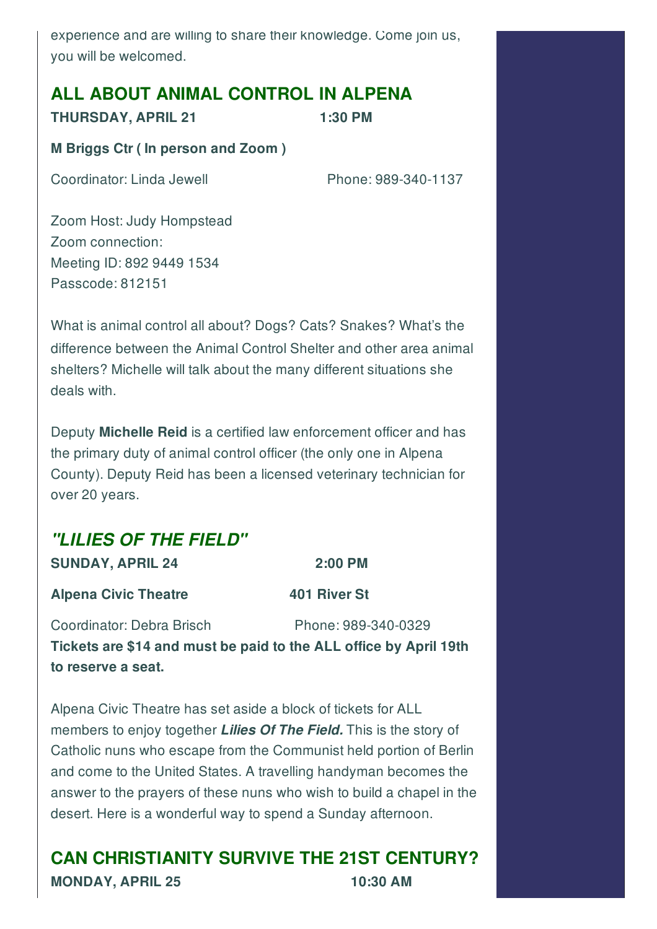experience and are willing to share their knowledge. Come join us, you will be welcomed.

#### **ALL ABOUT ANIMAL CONTROL IN ALPENA**

**THURSDAY, APRIL 21 1:30 PM**

#### **M Briggs Ctr ( In person and Zoom )**

Coordinator: Linda Jewell Phone: 989-340-1137

Zoom Host: Judy Hompstead Zoom connection: Meeting ID: 892 9449 1534 Passcode: 812151

What is animal control all about? Dogs? Cats? Snakes? What's the difference between the Animal Control Shelter and other area animal shelters? Michelle will talk about the many different situations she deals with.

Deputy **Michelle Reid** is a certified law enforcement officer and has the primary duty of animal control officer (the only one in Alpena County). Deputy Reid has been a licensed veterinary technician for over 20 years.

### *"LILIES OF THE FIELD"*

**SUNDAY, APRIL 24 2:00 PM**

**Alpena Civic Theatre 401 River St**

Coordinator: Debra Brisch Phone: 989-340-0329 **Tickets are \$14 and must be paid to the ALL office by April 19th to reserve a seat.**

Alpena Civic Theatre has set aside a block of tickets for ALL members to enjoy together *Lilies Of The Field.* This is the story of Catholic nuns who escape from the Communist held portion of Berlin and come to the United States. A travelling handyman becomes the answer to the prayers of these nuns who wish to build a chapel in the desert. Here is a wonderful way to spend a Sunday afternoon.

**CAN CHRISTIANITY SURVIVE THE 21ST CENTURY? MONDAY, APRIL 25 10:30 AM**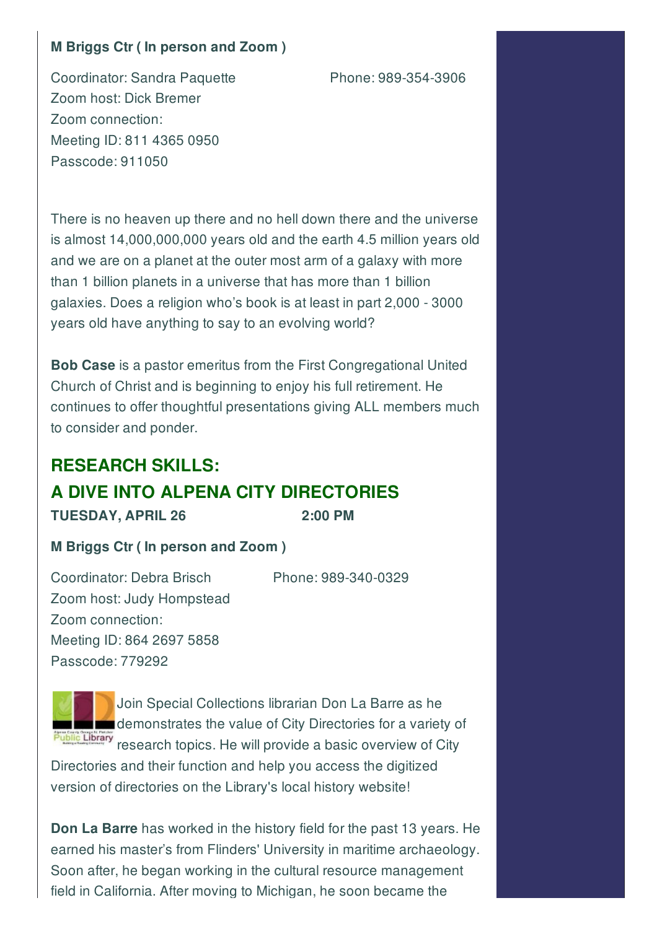#### **M Briggs Ctr ( In person and Zoom )**

Coordinator: Sandra Paquette Phone: 989-354-3906 Zoom host: Dick Bremer Zoom connection: Meeting ID: 811 4365 0950 Passcode: 911050

There is no heaven up there and no hell down there and the universe is almost 14,000,000,000 years old and the earth 4.5 million years old and we are on a planet at the outer most arm of a galaxy with more than 1 billion planets in a universe that has more than 1 billion galaxies. Does a religion who's book is at least in part 2,000 - 3000 years old have anything to say to an evolving world?

**Bob Case** is a pastor emeritus from the First Congregational United Church of Christ and is beginning to enjoy his full retirement. He continues to offer thoughtful presentations giving ALL members much to consider and ponder.

## **RESEARCH SKILLS: A DIVE INTO ALPENA CITY DIRECTORIES TUESDAY, APRIL 26 2:00 PM**

#### **M Briggs Ctr ( In person and Zoom )**

Coordinator: Debra Brisch Phone: 989-340-0329 Zoom host: Judy Hompstead Zoom connection: Meeting ID: 864 2697 5858 Passcode: 779292



Join Special Collections librarian Don La Barre as he **demonstrates the value of City Directories for a variety of** Public Library<br>research topics. He will provide a basic overview of City

Directories and their function and help you access the digitized version of directories on the Library's local history website!

**Don La Barre** has worked in the history field for the past 13 years. He earned his master's from Flinders' University in maritime archaeology. Soon after, he began working in the cultural resource management field in California. After moving to Michigan, he soon became the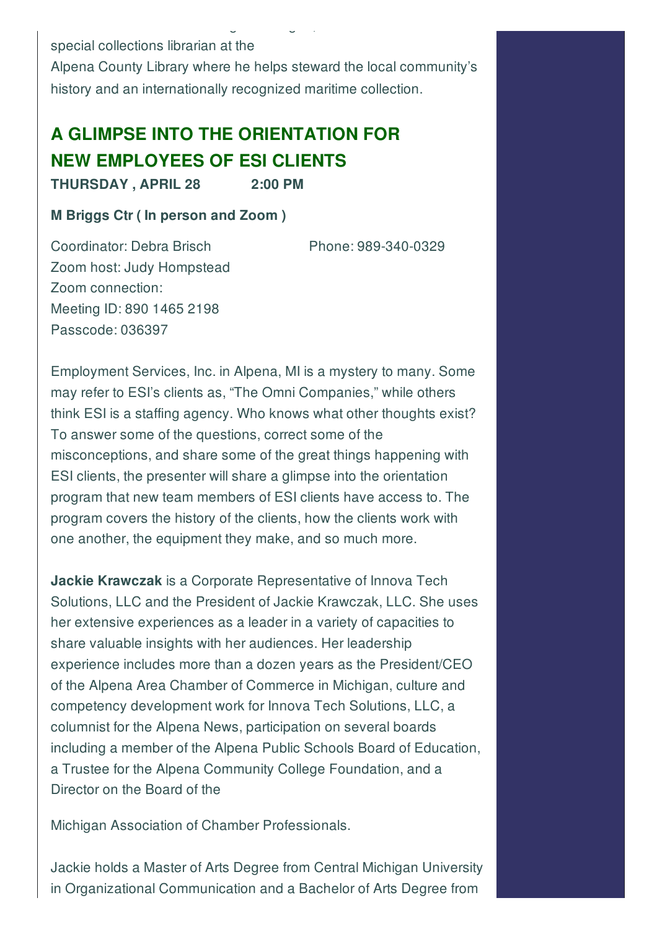special collections librarian at the Alpena County Library where he helps steward the local community's history and an internationally recognized maritime collection.

field in California. After moving to Michigan, he soon became the

# **A GLIMPSE INTO THE ORIENTATION FOR NEW EMPLOYEES OF ESI CLIENTS**

**THURSDAY , APRIL 28 2:00 PM**

**M Briggs Ctr ( In person and Zoom )**

Coordinator: Debra Brisch Phone: 989-340-0329

Zoom host: Judy Hompstead Zoom connection: Meeting ID: 890 1465 2198 Passcode: 036397

Employment Services, Inc. in Alpena, MI is a mystery to many. Some may refer to ESI's clients as, "The Omni Companies," while others think ESI is a staffing agency. Who knows what other thoughts exist? To answer some of the questions, correct some of the misconceptions, and share some of the great things happening with ESI clients, the presenter will share a glimpse into the orientation program that new team members of ESI clients have access to. The program covers the history of the clients, how the clients work with one another, the equipment they make, and so much more.

**Jackie Krawczak** is a Corporate Representative of Innova Tech Solutions, LLC and the President of Jackie Krawczak, LLC. She uses her extensive experiences as a leader in a variety of capacities to share valuable insights with her audiences. Her leadership experience includes more than a dozen years as the President/CEO of the Alpena Area Chamber of Commerce in Michigan, culture and competency development work for Innova Tech Solutions, LLC, a columnist for the Alpena News, participation on several boards including a member of the Alpena Public Schools Board of Education, a Trustee for the Alpena Community College Foundation, and a Director on the Board of the

Michigan Association of Chamber Professionals.

Jackie holds a Master of Arts Degree from Central Michigan University in Organizational Communication and a Bachelor of Arts Degree from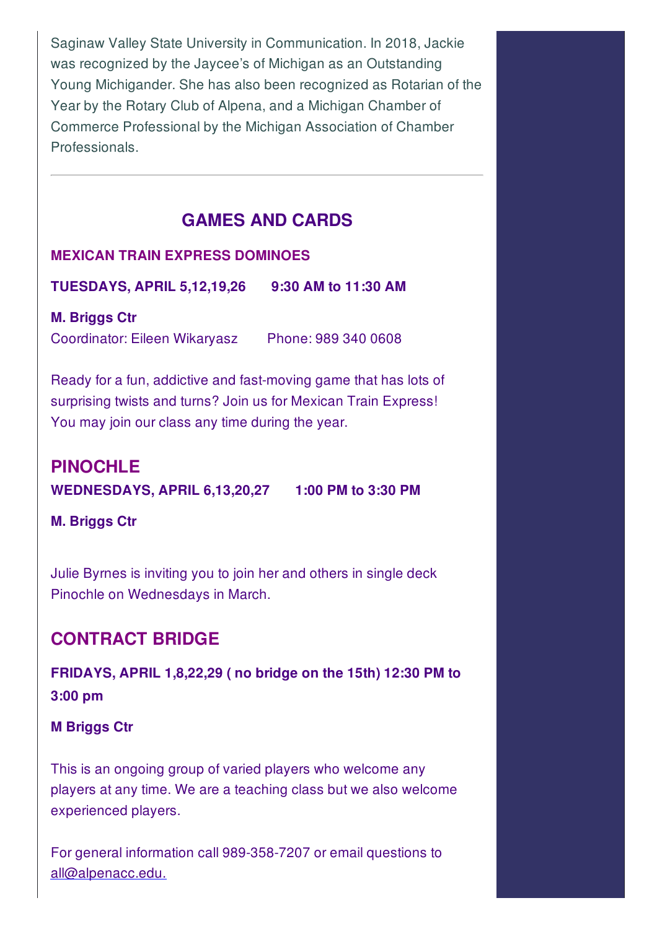Saginaw Valley State University in Communication. In 2018, Jackie was recognized by the Jaycee's of Michigan as an Outstanding Young Michigander. She has also been recognized as Rotarian of the Year by the Rotary Club of Alpena, and a Michigan Chamber of Commerce Professional by the Michigan Association of Chamber Professionals.

#### **GAMES AND CARDS**

#### **MEXICAN TRAIN EXPRESS DOMINOES**

**TUESDAYS, APRIL 5,12,19,26 9:30 AM to 11:30 AM**

**M. Briggs Ctr** Coordinator: Eileen Wikaryasz Phone: 989 340 0608

Ready for a fun, addictive and fast-moving game that has lots of surprising twists and turns? Join us for Mexican Train Express! You may join our class any time during the year.

## **PINOCHLE WEDNESDAYS, APRIL 6,13,20,27 1:00 PM to 3:30 PM**

**M. Briggs Ctr**

Julie Byrnes is inviting you to join her and others in single deck Pinochle on Wednesdays in March.

### **CONTRACT BRIDGE**

**FRIDAYS, APRIL 1,8,22,29 ( no bridge on the 15th) 12:30 PM to 3:00 pm**

**M Briggs Ctr**

This is an ongoing group of varied players who welcome any players at any time. We are a teaching class but we also welcome experienced players.

For general information call 989-358-7207 or email questions to all@alpenacc.edu.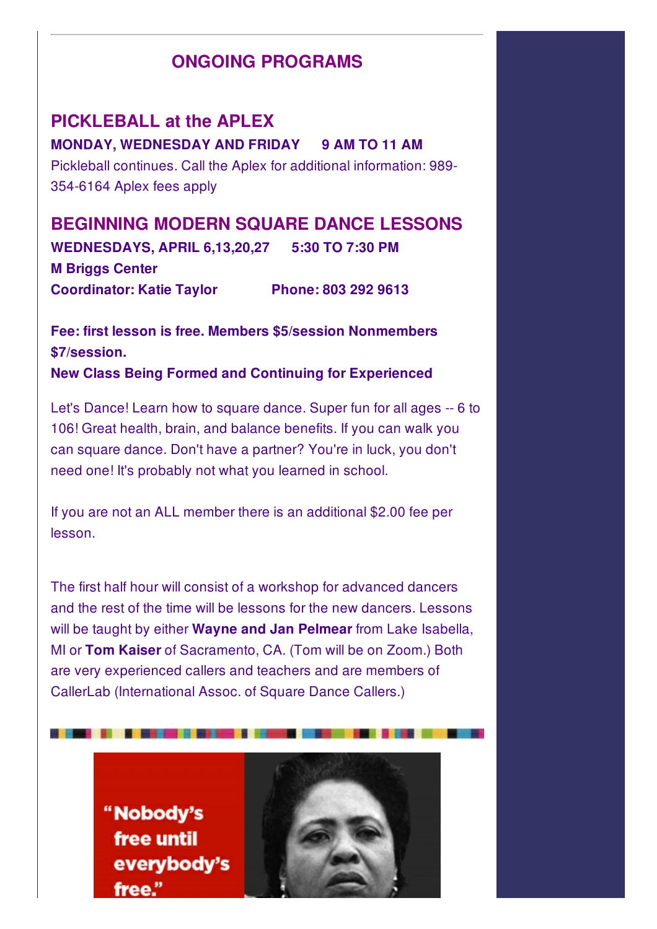### **ONGOING PROGRAMS**

**PICKLEBALL at the APLEX MONDAY, WEDNESDAY AND FRIDAY 9 AM TO 11 AM** Pickleball continues. Call the Aplex for additional information: 989- 354-6164 Aplex fees apply

**BEGINNING MODERN SQUARE DANCE LESSONS WEDNESDAYS, APRIL 6,13,20,27 5:30 TO 7:30 PM M Briggs Center Coordinator: Katie Taylor Phone: 803 292 9613**

**Fee: first lesson is free. Members \$5/session Nonmembers \$7/session. New Class Being Formed and Continuing for Experienced**

Let's Dance! Learn how to square dance. Super fun for all ages -- 6 to 106! Great health, brain, and balance benefits. If you can walk you can square dance. Don't have a partner? You're in luck, you don't need one! It's probably not what you learned in school.

If you are not an ALL member there is an additional \$2.00 fee per lesson.

The first half hour will consist of a workshop for advanced dancers and the rest of the time will be lessons for the new dancers. Lessons will be taught by either **Wayne and Jan Pelmear** from Lake Isabella, MI or **Tom Kaiser** of Sacramento, CA. (Tom will be on Zoom.) Both are very experienced callers and teachers and are members of CallerLab (International Assoc. of Square Dance Callers.)

> "Nobody's free until everybody's free."